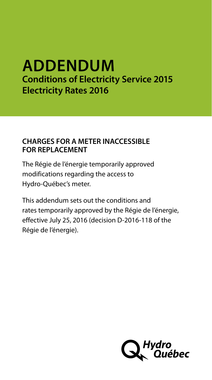# **ADDENDUM Conditions of Electricity Service 2015 Electricity Rates 2016**

## **CHARGES FOR A METER INACCESSIBLE FOR REPLACEMENT**

The Régie de l'énergie temporarily approved modifications regarding the access to Hydro-Québec's meter.

This addendum sets out the conditions and rates temporarily approved by the Régie de l'énergie, effective July 25, 2016 (decision D-2016-118 of the Régie de l'énergie).